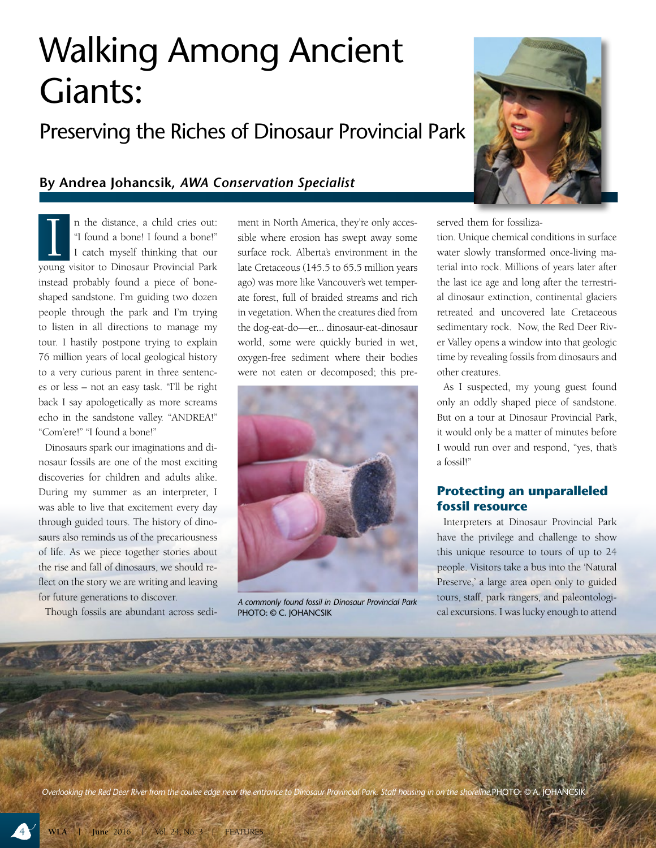# Walking Among Ancient **Giants:**<br>Preserving the Riches of Dinosaur Provincial Park

## **By Andrea Johancsik,** *AWA Conservation Specialist*

I a the distance, a child cries out:<br>
"I found a bone! I found a bone!"<br>
I catch myself thinking that our<br>
young visitor to Dinosaur Provincial Park n the distance, a child cries out: "I found a bone! I found a bone!" I catch myself thinking that our instead probably found a piece of boneshaped sandstone. I'm guiding two dozen people through the park and I'm trying to listen in all directions to manage my tour. I hastily postpone trying to explain 76 million years of local geological history to a very curious parent in three sentences or less – not an easy task. "I'll be right back I say apologetically as more screams echo in the sandstone valley. "ANDREA!" "Com'ere!" "I found a bone!"

Dinosaurs spark our imaginations and dinosaur fossils are one of the most exciting discoveries for children and adults alike. During my summer as an interpreter, I was able to live that excitement every day through guided tours. The history of dinosaurs also reminds us of the precariousness of life. As we piece together stories about the rise and fall of dinosaurs, we should reflect on the story we are writing and leaving for future generations to discover.

Though fossils are abundant across sedi-

ment in North America, they're only accessible where erosion has swept away some surface rock. Alberta's environment in the late Cretaceous (145.5 to 65.5 million years ago) was more like Vancouver's wet temperate forest, full of braided streams and rich in vegetation. When the creatures died from the dog-eat-do—er... dinosaur-eat-dinosaur world, some were quickly buried in wet, oxygen-free sediment where their bodies were not eaten or decomposed; this pre-



*A commonly found fossil in Dinosaur Provincial Park*  PHOTO: © C. JOHANCSIK



served them for fossiliza-

tion. Unique chemical conditions in surface water slowly transformed once-living material into rock. Millions of years later after the last ice age and long after the terrestrial dinosaur extinction, continental glaciers retreated and uncovered late Cretaceous sedimentary rock. Now, the Red Deer River Valley opens a window into that geologic time by revealing fossils from dinosaurs and other creatures.

As I suspected, my young guest found only an oddly shaped piece of sandstone. But on a tour at Dinosaur Provincial Park, it would only be a matter of minutes before I would run over and respond, "yes, that's a fossil!"

#### **Protecting an unparalleled fossil resource**

Interpreters at Dinosaur Provincial Park have the privilege and challenge to show this unique resource to tours of up to 24 people. Visitors take a bus into the 'Natural Preserve,' a large area open only to guided tours, staff, park rangers, and paleontological excursions. I was lucky enough to attend

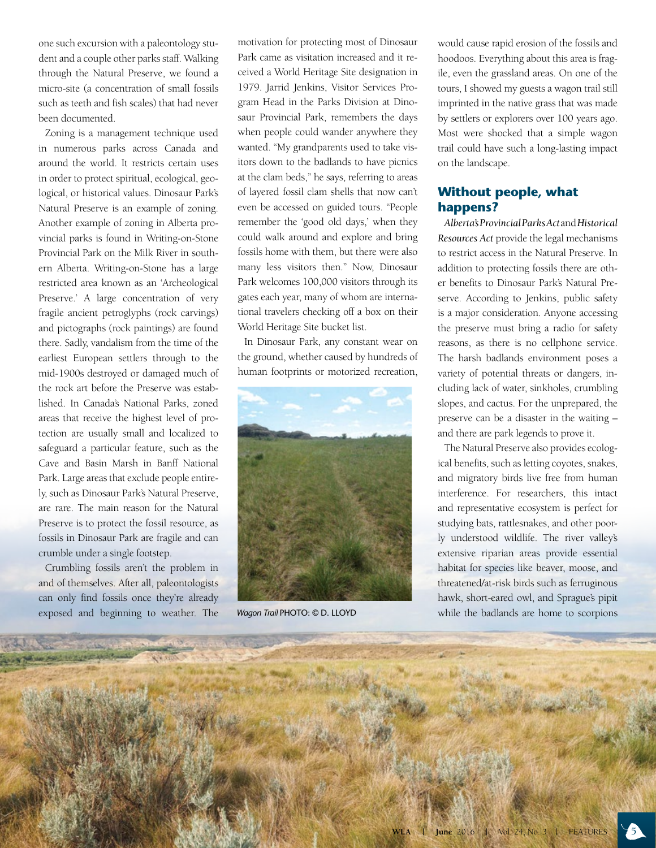one such excursion with a paleontology student and a couple other parks staff. Walking through the Natural Preserve, we found a micro-site (a concentration of small fossils such as teeth and fish scales) that had never been documented.

Zoning is a management technique used in numerous parks across Canada and around the world. It restricts certain uses in order to protect spiritual, ecological, geological, or historical values. Dinosaur Park's Natural Preserve is an example of zoning. Another example of zoning in Alberta provincial parks is found in Writing-on-Stone Provincial Park on the Milk River in southern Alberta. Writing-on-Stone has a large restricted area known as an 'Archeological Preserve.' A large concentration of very fragile ancient petroglyphs (rock carvings) and pictographs (rock paintings) are found there. Sadly, vandalism from the time of the earliest European settlers through to the mid-1900s destroyed or damaged much of the rock art before the Preserve was established. In Canada's National Parks, zoned areas that receive the highest level of protection are usually small and localized to safeguard a particular feature, such as the Cave and Basin Marsh in Banff National Park. Large areas that exclude people entirely, such as Dinosaur Park's Natural Preserve, are rare. The main reason for the Natural Preserve is to protect the fossil resource, as fossils in Dinosaur Park are fragile and can crumble under a single footstep.

Crumbling fossils aren't the problem in and of themselves. After all, paleontologists can only find fossils once they're already exposed and beginning to weather. The

motivation for protecting most of Dinosaur Park came as visitation increased and it received a World Heritage Site designation in 1979. Jarrid Jenkins, Visitor Services Program Head in the Parks Division at Dinosaur Provincial Park, remembers the days when people could wander anywhere they wanted. "My grandparents used to take visitors down to the badlands to have picnics at the clam beds," he says, referring to areas of layered fossil clam shells that now can't even be accessed on guided tours. "People remember the 'good old days,' when they could walk around and explore and bring fossils home with them, but there were also many less visitors then." Now, Dinosaur Park welcomes 100,000 visitors through its gates each year, many of whom are international travelers checking off a box on their World Heritage Site bucket list.

In Dinosaur Park, any constant wear on the ground, whether caused by hundreds of human footprints or motorized recreation,



*Wagon Trail* PHOTO: © D. LLOYD

would cause rapid erosion of the fossils and hoodoos. Everything about this area is fragile, even the grassland areas. On one of the tours, I showed my guests a wagon trail still imprinted in the native grass that was made by settlers or explorers over 100 years ago. Most were shocked that a simple wagon trail could have such a long-lasting impact on the landscape.

#### **Without people, what happens?**

*Alberta's Provincial Parks Act* and *Historical Resources Act* provide the legal mechanisms to restrict access in the Natural Preserve. In addition to protecting fossils there are other benefits to Dinosaur Park's Natural Preserve. According to Jenkins, public safety is a major consideration. Anyone accessing the preserve must bring a radio for safety reasons, as there is no cellphone service. The harsh badlands environment poses a variety of potential threats or dangers, including lack of water, sinkholes, crumbling slopes, and cactus. For the unprepared, the preserve can be a disaster in the waiting – and there are park legends to prove it.

The Natural Preserve also provides ecological benefits, such as letting coyotes, snakes, and migratory birds live free from human interference. For researchers, this intact and representative ecosystem is perfect for studying bats, rattlesnakes, and other poorly understood wildlife. The river valley's extensive riparian areas provide essential habitat for species like beaver, moose, and threatened/at-risk birds such as ferruginous hawk, short-eared owl, and Sprague's pipit while the badlands are home to scorpions